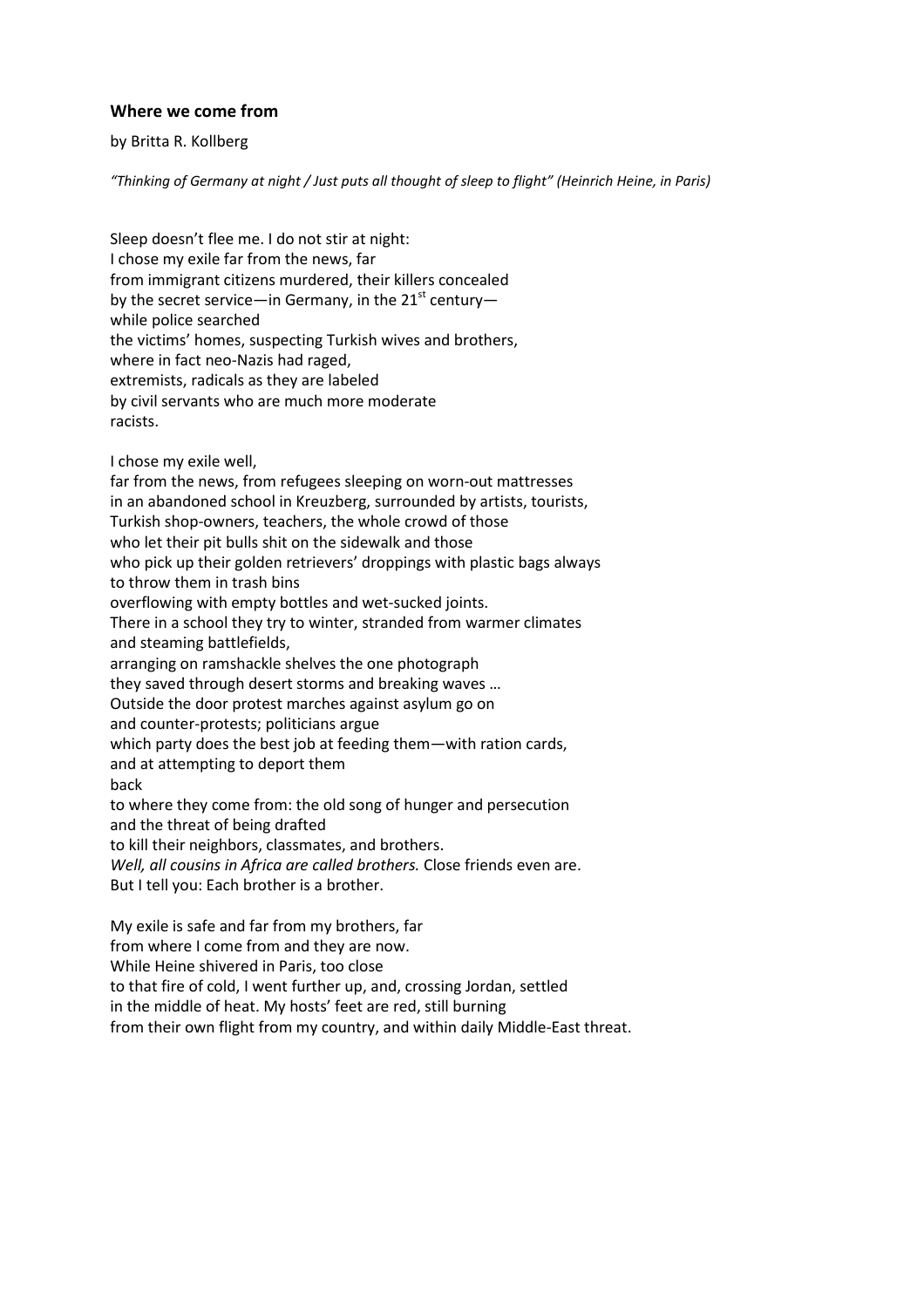## **Where we come from**

by Britta R. Kollberg

*"Thinking of Germany at night / Just puts all thought of sleep to flight" (Heinrich Heine, in Paris)* 

Sleep doesn't flee me. I do not stir at night: I chose my exile far from the news, far from immigrant citizens murdered, their killers concealed by the secret service—in Germany, in the  $21<sup>st</sup>$  century while police searched the victims' homes, suspecting Turkish wives and brothers, where in fact neo-Nazis had raged, extremists, radicals as they are labeled by civil servants who are much more moderate racists.

I chose my exile well,

far from the news, from refugees sleeping on worn-out mattresses in an abandoned school in Kreuzberg, surrounded by artists, tourists, Turkish shop-owners, teachers, the whole crowd of those who let their pit bulls shit on the sidewalk and those who pick up their golden retrievers' droppings with plastic bags always to throw them in trash bins overflowing with empty bottles and wet-sucked joints. There in a school they try to winter, stranded from warmer climates and steaming battlefields, arranging on ramshackle shelves the one photograph they saved through desert storms and breaking waves … Outside the door protest marches against asylum go on and counter-protests; politicians argue which party does the best job at feeding them—with ration cards, and at attempting to deport them back to where they come from: the old song of hunger and persecution

and the threat of being drafted

to kill their neighbors, classmates, and brothers.

*Well, all cousins in Africa are called brothers.* Close friends even are. But I tell you: Each brother is a brother.

My exile is safe and far from my brothers, far from where I come from and they are now. While Heine shivered in Paris, too close to that fire of cold, I went further up, and, crossing Jordan, settled in the middle of heat. My hosts' feet are red, still burning from their own flight from my country, and within daily Middle-East threat.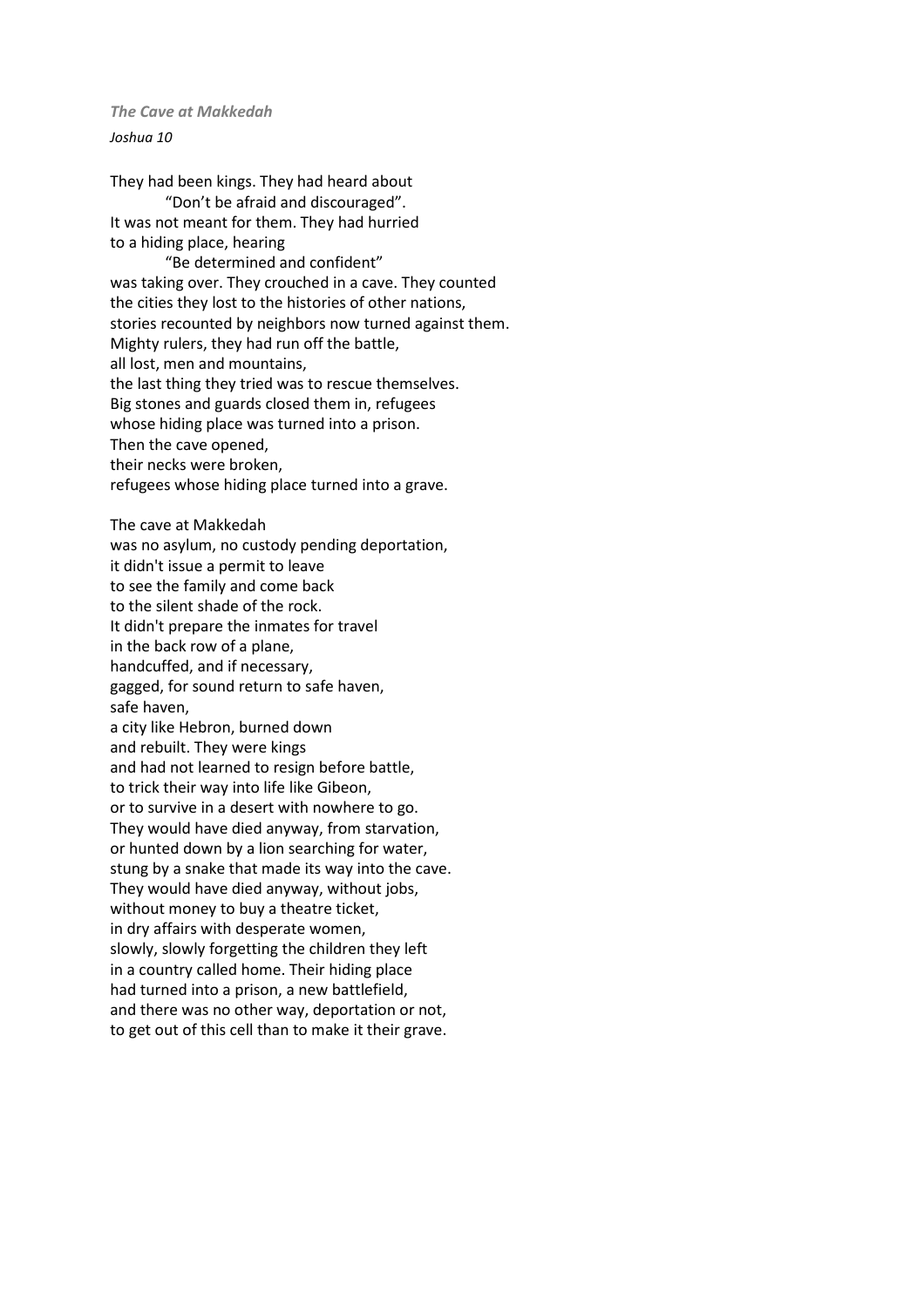*The Cave at Makkedah Joshua 10* 

They had been kings. They had heard about "Don't be afraid and discouraged". It was not meant for them. They had hurried to a hiding place, hearing "Be determined and confident" was taking over. They crouched in a cave. They counted the cities they lost to the histories of other nations, stories recounted by neighbors now turned against them. Mighty rulers, they had run off the battle, all lost, men and mountains, the last thing they tried was to rescue themselves. Big stones and guards closed them in, refugees whose hiding place was turned into a prison. Then the cave opened, their necks were broken, refugees whose hiding place turned into a grave. The cave at Makkedah was no asylum, no custody pending deportation, it didn't issue a permit to leave to see the family and come back to the silent shade of the rock. It didn't prepare the inmates for travel in the back row of a plane, handcuffed, and if necessary, gagged, for sound return to safe haven, safe haven, a city like Hebron, burned down and rebuilt. They were kings and had not learned to resign before battle, to trick their way into life like Gibeon, or to survive in a desert with nowhere to go. They would have died anyway, from starvation, or hunted down by a lion searching for water, stung by a snake that made its way into the cave. They would have died anyway, without jobs, without money to buy a theatre ticket, in dry affairs with desperate women, slowly, slowly forgetting the children they left in a country called home. Their hiding place had turned into a prison, a new battlefield, and there was no other way, deportation or not, to get out of this cell than to make it their grave.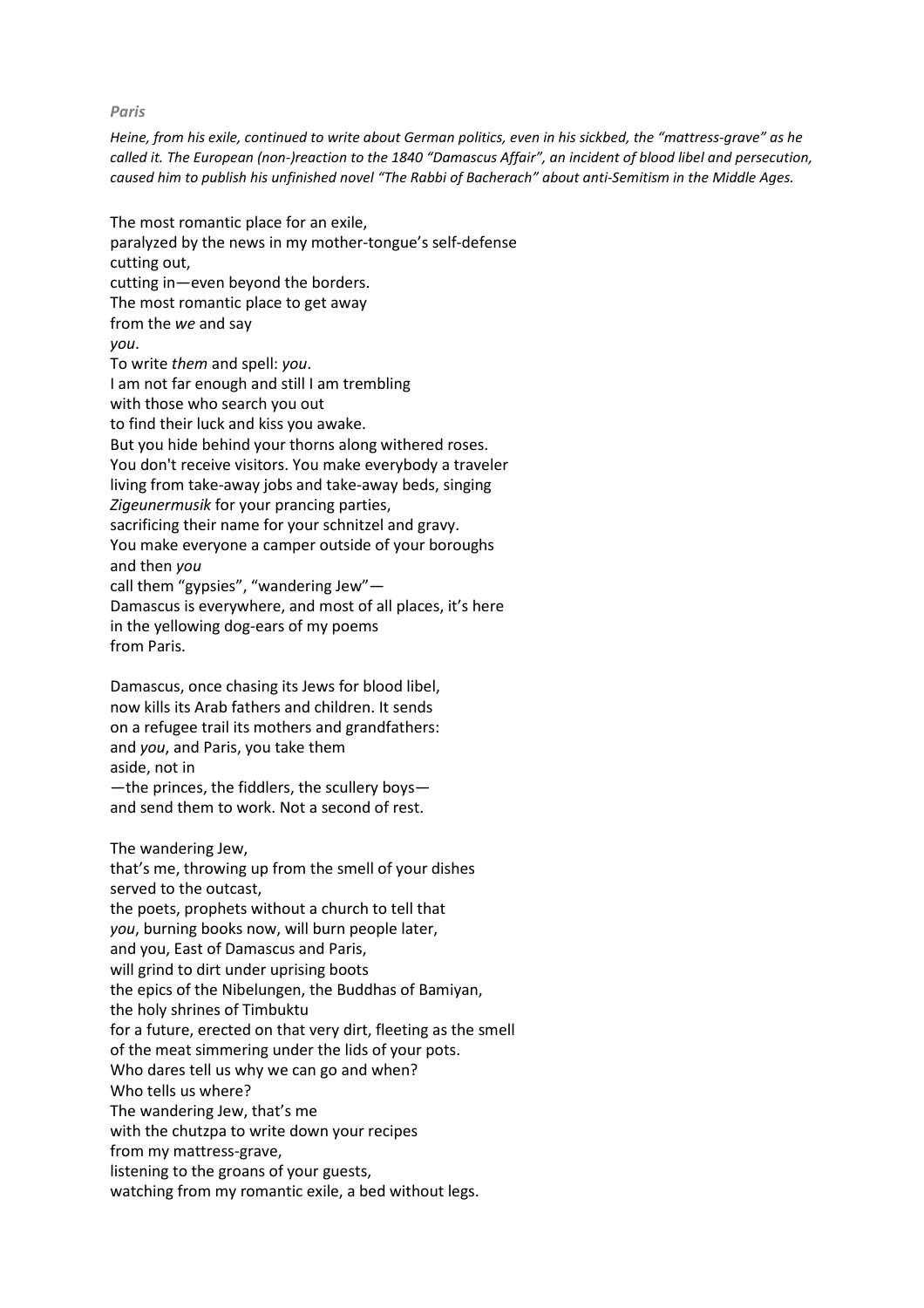## *Paris*

*Heine, from his exile, continued to write about German politics, even in his sickbed, the "mattress-grave" as he called it. The European (non-)reaction to the 1840 "Damascus Affair", an incident of blood libel and persecution, caused him to publish his unfinished novel "The Rabbi of Bacherach" about anti-Semitism in the Middle Ages.* 

The most romantic place for an exile, paralyzed by the news in my mother-tongue's self-defense cutting out, cutting in—even beyond the borders. The most romantic place to get away from the *we* and say *you*. To write *them* and spell: *you*. I am not far enough and still I am trembling with those who search you out to find their luck and kiss you awake. But you hide behind your thorns along withered roses. You don't receive visitors. You make everybody a traveler living from take-away jobs and take-away beds, singing *Zigeunermusik* for your prancing parties, sacrificing their name for your schnitzel and gravy. You make everyone a camper outside of your boroughs and then *you* call them "gypsies", "wandering Jew"— Damascus is everywhere, and most of all places, it's here in the yellowing dog-ears of my poems from Paris. Damascus, once chasing its Jews for blood libel, now kills its Arab fathers and children. It sends on a refugee trail its mothers and grandfathers: and *you*, and Paris, you take them aside, not in —the princes, the fiddlers, the scullery boys and send them to work. Not a second of rest. The wandering Jew, that's me, throwing up from the smell of your dishes served to the outcast, the poets, prophets without a church to tell that *you*, burning books now, will burn people later,

and you, East of Damascus and Paris,

will grind to dirt under uprising boots the epics of the Nibelungen, the Buddhas of Bamiyan,

the holy shrines of Timbuktu

for a future, erected on that very dirt, fleeting as the smell

of the meat simmering under the lids of your pots.

Who dares tell us why we can go and when?

Who tells us where?

The wandering Jew, that's me

with the chutzpa to write down your recipes

from my mattress-grave,

listening to the groans of your guests,

watching from my romantic exile, a bed without legs.